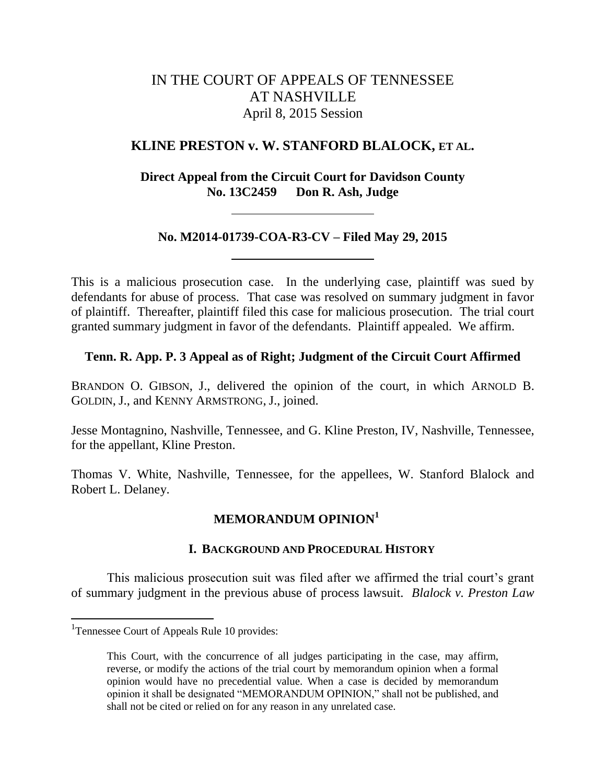# IN THE COURT OF APPEALS OF TENNESSEE AT NASHVILLE April 8, 2015 Session

## **KLINE PRESTON v. W. STANFORD BLALOCK, ET AL.**

**Direct Appeal from the Circuit Court for Davidson County No. 13C2459 Don R. Ash, Judge**

## **No. M2014-01739-COA-R3-CV – Filed May 29, 2015**

This is a malicious prosecution case. In the underlying case, plaintiff was sued by defendants for abuse of process. That case was resolved on summary judgment in favor of plaintiff. Thereafter, plaintiff filed this case for malicious prosecution. The trial court granted summary judgment in favor of the defendants. Plaintiff appealed. We affirm.

## **Tenn. R. App. P. 3 Appeal as of Right; Judgment of the Circuit Court Affirmed**

BRANDON O. GIBSON, J., delivered the opinion of the court, in which ARNOLD B. GOLDIN, J., and KENNY ARMSTRONG, J., joined.

Jesse Montagnino, Nashville, Tennessee, and G. Kline Preston, IV, Nashville, Tennessee, for the appellant, Kline Preston.

Thomas V. White, Nashville, Tennessee, for the appellees, W. Stanford Blalock and Robert L. Delaney.

## **MEMORANDUM OPINION<sup>1</sup>**

## **I. BACKGROUND AND PROCEDURAL HISTORY**

This malicious prosecution suit was filed after we affirmed the trial court's grant of summary judgment in the previous abuse of process lawsuit. *Blalock v. Preston Law* 

l

<sup>&</sup>lt;sup>1</sup>Tennessee Court of Appeals Rule 10 provides:

This Court, with the concurrence of all judges participating in the case, may affirm, reverse, or modify the actions of the trial court by memorandum opinion when a formal opinion would have no precedential value. When a case is decided by memorandum opinion it shall be designated "MEMORANDUM OPINION," shall not be published, and shall not be cited or relied on for any reason in any unrelated case.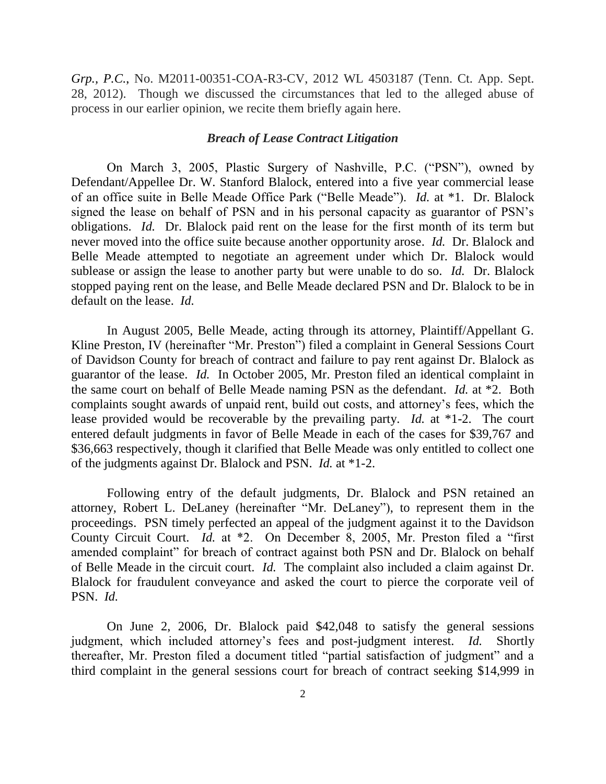*Grp., P.C.*, No. M2011-00351-COA-R3-CV, 2012 WL 4503187 (Tenn. Ct. App. Sept. 28, 2012). Though we discussed the circumstances that led to the alleged abuse of process in our earlier opinion, we recite them briefly again here.

### *Breach of Lease Contract Litigation*

On March 3, 2005, Plastic Surgery of Nashville, P.C. ("PSN"), owned by Defendant/Appellee Dr. W. Stanford Blalock, entered into a five year commercial lease of an office suite in Belle Meade Office Park ("Belle Meade"). *Id.* at \*1. Dr. Blalock signed the lease on behalf of PSN and in his personal capacity as guarantor of PSN's obligations. *Id.* Dr. Blalock paid rent on the lease for the first month of its term but never moved into the office suite because another opportunity arose. *Id.* Dr. Blalock and Belle Meade attempted to negotiate an agreement under which Dr. Blalock would sublease or assign the lease to another party but were unable to do so. *Id.* Dr. Blalock stopped paying rent on the lease, and Belle Meade declared PSN and Dr. Blalock to be in default on the lease. *Id.*

In August 2005, Belle Meade, acting through its attorney, Plaintiff/Appellant G. Kline Preston, IV (hereinafter "Mr. Preston") filed a complaint in General Sessions Court of Davidson County for breach of contract and failure to pay rent against Dr. Blalock as guarantor of the lease. *Id.* In October 2005, Mr. Preston filed an identical complaint in the same court on behalf of Belle Meade naming PSN as the defendant. *Id.* at \*2. Both complaints sought awards of unpaid rent, build out costs, and attorney's fees, which the lease provided would be recoverable by the prevailing party. *Id.* at \*1-2. The court entered default judgments in favor of Belle Meade in each of the cases for \$39,767 and \$36,663 respectively, though it clarified that Belle Meade was only entitled to collect one of the judgments against Dr. Blalock and PSN. *Id.* at \*1-2.

Following entry of the default judgments, Dr. Blalock and PSN retained an attorney, Robert L. DeLaney (hereinafter "Mr. DeLaney"), to represent them in the proceedings. PSN timely perfected an appeal of the judgment against it to the Davidson County Circuit Court. *Id.* at \*2. On December 8, 2005, Mr. Preston filed a "first amended complaint" for breach of contract against both PSN and Dr. Blalock on behalf of Belle Meade in the circuit court. *Id.* The complaint also included a claim against Dr. Blalock for fraudulent conveyance and asked the court to pierce the corporate veil of PSN. *Id.*

On June 2, 2006, Dr. Blalock paid \$42,048 to satisfy the general sessions judgment, which included attorney's fees and post-judgment interest. *Id.* Shortly thereafter, Mr. Preston filed a document titled "partial satisfaction of judgment" and a third complaint in the general sessions court for breach of contract seeking \$14,999 in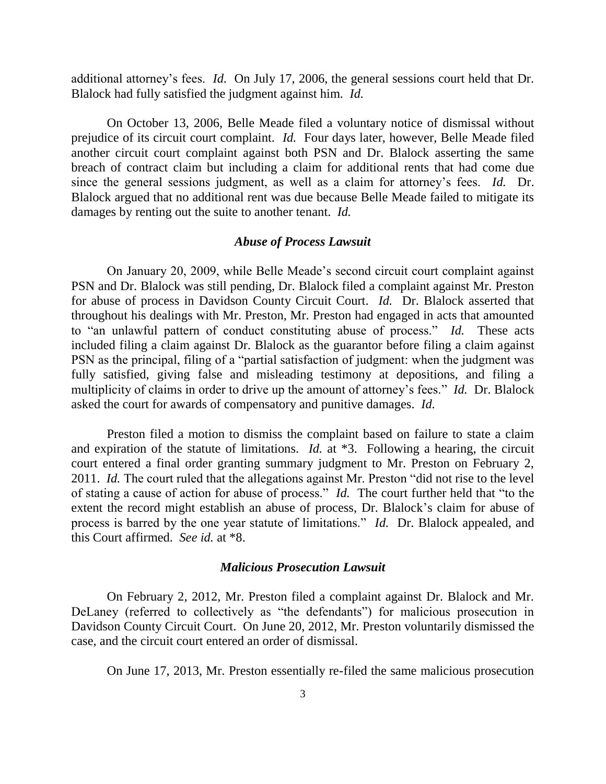additional attorney's fees. *Id.* On July 17, 2006, the general sessions court held that Dr. Blalock had fully satisfied the judgment against him. *Id.*

On October 13, 2006, Belle Meade filed a voluntary notice of dismissal without prejudice of its circuit court complaint. *Id.* Four days later, however, Belle Meade filed another circuit court complaint against both PSN and Dr. Blalock asserting the same breach of contract claim but including a claim for additional rents that had come due since the general sessions judgment, as well as a claim for attorney's fees. *Id.* Dr. Blalock argued that no additional rent was due because Belle Meade failed to mitigate its damages by renting out the suite to another tenant. *Id.*

## *Abuse of Process Lawsuit*

On January 20, 2009, while Belle Meade's second circuit court complaint against PSN and Dr. Blalock was still pending, Dr. Blalock filed a complaint against Mr. Preston for abuse of process in Davidson County Circuit Court. *Id.* Dr. Blalock asserted that throughout his dealings with Mr. Preston, Mr. Preston had engaged in acts that amounted to "an unlawful pattern of conduct constituting abuse of process." *Id.* These acts included filing a claim against Dr. Blalock as the guarantor before filing a claim against PSN as the principal, filing of a "partial satisfaction of judgment: when the judgment was fully satisfied, giving false and misleading testimony at depositions, and filing a multiplicity of claims in order to drive up the amount of attorney's fees." *Id.* Dr. Blalock asked the court for awards of compensatory and punitive damages. *Id.*

Preston filed a motion to dismiss the complaint based on failure to state a claim and expiration of the statute of limitations. *Id.* at \*3. Following a hearing, the circuit court entered a final order granting summary judgment to Mr. Preston on February 2, 2011. *Id.* The court ruled that the allegations against Mr. Preston "did not rise to the level of stating a cause of action for abuse of process." *Id.* The court further held that "to the extent the record might establish an abuse of process, Dr. Blalock's claim for abuse of process is barred by the one year statute of limitations." *Id.* Dr. Blalock appealed, and this Court affirmed. *See id.* at \*8.

### *Malicious Prosecution Lawsuit*

On February 2, 2012, Mr. Preston filed a complaint against Dr. Blalock and Mr. DeLaney (referred to collectively as "the defendants") for malicious prosecution in Davidson County Circuit Court. On June 20, 2012, Mr. Preston voluntarily dismissed the case, and the circuit court entered an order of dismissal.

On June 17, 2013, Mr. Preston essentially re-filed the same malicious prosecution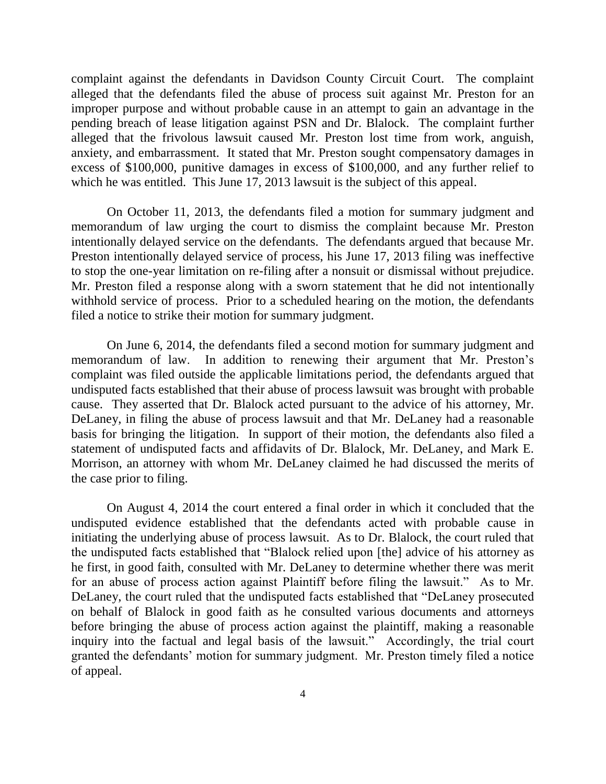complaint against the defendants in Davidson County Circuit Court. The complaint alleged that the defendants filed the abuse of process suit against Mr. Preston for an improper purpose and without probable cause in an attempt to gain an advantage in the pending breach of lease litigation against PSN and Dr. Blalock. The complaint further alleged that the frivolous lawsuit caused Mr. Preston lost time from work, anguish, anxiety, and embarrassment. It stated that Mr. Preston sought compensatory damages in excess of \$100,000, punitive damages in excess of \$100,000, and any further relief to which he was entitled. This June 17, 2013 lawsuit is the subject of this appeal.

On October 11, 2013, the defendants filed a motion for summary judgment and memorandum of law urging the court to dismiss the complaint because Mr. Preston intentionally delayed service on the defendants. The defendants argued that because Mr. Preston intentionally delayed service of process, his June 17, 2013 filing was ineffective to stop the one-year limitation on re-filing after a nonsuit or dismissal without prejudice. Mr. Preston filed a response along with a sworn statement that he did not intentionally withhold service of process. Prior to a scheduled hearing on the motion, the defendants filed a notice to strike their motion for summary judgment.

On June 6, 2014, the defendants filed a second motion for summary judgment and memorandum of law. In addition to renewing their argument that Mr. Preston's complaint was filed outside the applicable limitations period, the defendants argued that undisputed facts established that their abuse of process lawsuit was brought with probable cause. They asserted that Dr. Blalock acted pursuant to the advice of his attorney, Mr. DeLaney, in filing the abuse of process lawsuit and that Mr. DeLaney had a reasonable basis for bringing the litigation. In support of their motion, the defendants also filed a statement of undisputed facts and affidavits of Dr. Blalock, Mr. DeLaney, and Mark E. Morrison, an attorney with whom Mr. DeLaney claimed he had discussed the merits of the case prior to filing.

On August 4, 2014 the court entered a final order in which it concluded that the undisputed evidence established that the defendants acted with probable cause in initiating the underlying abuse of process lawsuit. As to Dr. Blalock, the court ruled that the undisputed facts established that "Blalock relied upon [the] advice of his attorney as he first, in good faith, consulted with Mr. DeLaney to determine whether there was merit for an abuse of process action against Plaintiff before filing the lawsuit." As to Mr. DeLaney, the court ruled that the undisputed facts established that "DeLaney prosecuted on behalf of Blalock in good faith as he consulted various documents and attorneys before bringing the abuse of process action against the plaintiff, making a reasonable inquiry into the factual and legal basis of the lawsuit." Accordingly, the trial court granted the defendants' motion for summary judgment. Mr. Preston timely filed a notice of appeal.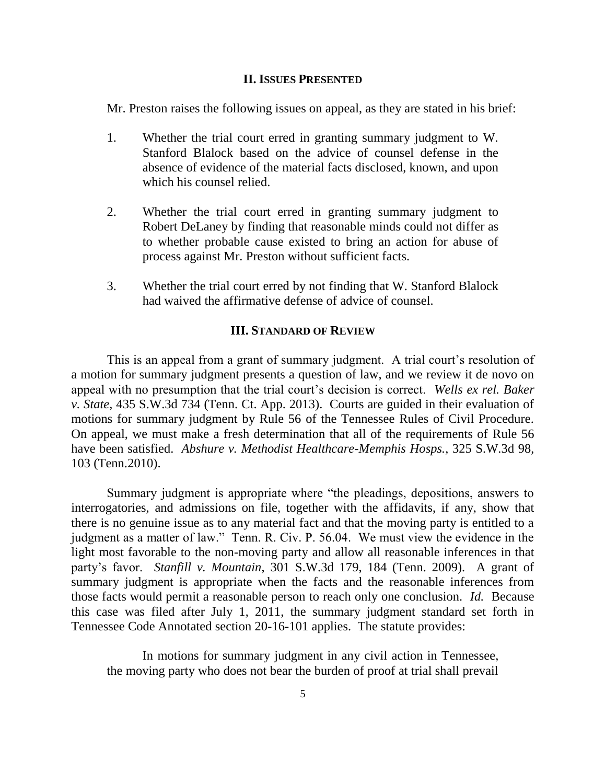#### **II. ISSUES PRESENTED**

Mr. Preston raises the following issues on appeal, as they are stated in his brief:

- 1. Whether the trial court erred in granting summary judgment to W. Stanford Blalock based on the advice of counsel defense in the absence of evidence of the material facts disclosed, known, and upon which his counsel relied.
- 2. Whether the trial court erred in granting summary judgment to Robert DeLaney by finding that reasonable minds could not differ as to whether probable cause existed to bring an action for abuse of process against Mr. Preston without sufficient facts.
- 3. Whether the trial court erred by not finding that W. Stanford Blalock had waived the affirmative defense of advice of counsel.

### **III. STANDARD OF REVIEW**

This is an appeal from a grant of summary judgment. A trial court's resolution of a motion for summary judgment presents a question of law, and we review it de novo on appeal with no presumption that the trial court's decision is correct. *Wells ex rel. Baker v. State*, 435 S.W.3d 734 (Tenn. Ct. App. 2013). Courts are guided in their evaluation of motions for summary judgment by Rule 56 of the Tennessee Rules of Civil Procedure. On appeal, we must make a fresh determination that all of the requirements of Rule 56 have been satisfied. *Abshure v. Methodist Healthcare-Memphis Hosps.*, 325 S.W.3d 98, 103 (Tenn.2010).

Summary judgment is appropriate where "the pleadings, depositions, answers to interrogatories, and admissions on file, together with the affidavits, if any, show that there is no genuine issue as to any material fact and that the moving party is entitled to a judgment as a matter of law." Tenn. R. Civ. P. 56.04. We must view the evidence in the light most favorable to the non-moving party and allow all reasonable inferences in that party's favor. *Stanfill v. Mountain*, 301 S.W.3d 179, 184 (Tenn. 2009). A grant of summary judgment is appropriate when the facts and the reasonable inferences from those facts would permit a reasonable person to reach only one conclusion. *Id.* Because this case was filed after July 1, 2011, the summary judgment standard set forth in Tennessee Code Annotated section 20-16-101 applies. The statute provides:

In motions for summary judgment in any civil action in Tennessee, the moving party who does not bear the burden of proof at trial shall prevail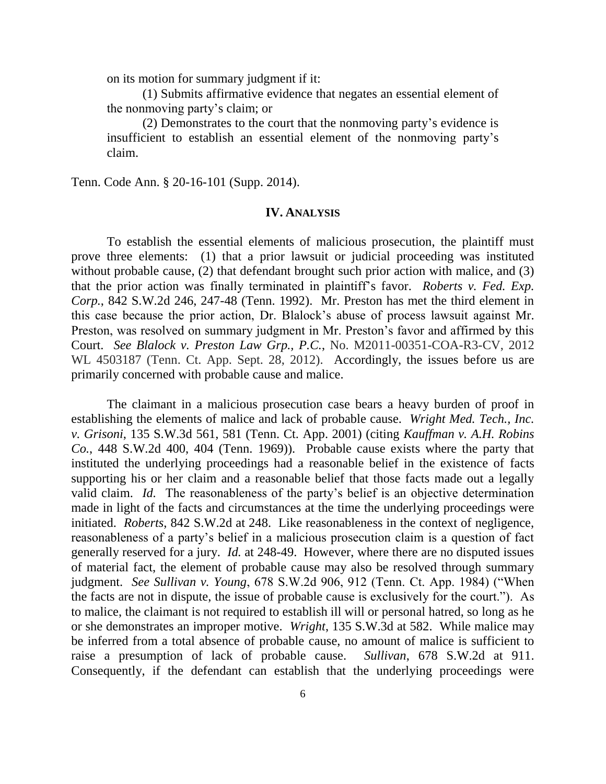on its motion for summary judgment if it:

(1) Submits affirmative evidence that negates an essential element of the nonmoving party's claim; or

(2) Demonstrates to the court that the nonmoving party's evidence is insufficient to establish an essential element of the nonmoving party's claim.

Tenn. Code Ann. § 20-16-101 (Supp. 2014).

#### **IV. ANALYSIS**

To establish the essential elements of malicious prosecution, the plaintiff must prove three elements: (1) that a prior lawsuit or judicial proceeding was instituted without probable cause, (2) that defendant brought such prior action with malice, and (3) that the prior action was finally terminated in plaintiff's favor. *Roberts v. Fed. Exp. Corp.*, 842 S.W.2d 246, 247-48 (Tenn. 1992). Mr. Preston has met the third element in this case because the prior action, Dr. Blalock's abuse of process lawsuit against Mr. Preston, was resolved on summary judgment in Mr. Preston's favor and affirmed by this Court. *See Blalock v. Preston Law Grp., P.C.*, No. M2011-00351-COA-R3-CV, 2012 WL 4503187 (Tenn. Ct. App. Sept. 28, 2012). Accordingly, the issues before us are primarily concerned with probable cause and malice.

The claimant in a malicious prosecution case bears a heavy burden of proof in establishing the elements of malice and lack of probable cause. *Wright Med. Tech., Inc. v. Grisoni*, 135 S.W.3d 561, 581 (Tenn. Ct. App. 2001) (citing *Kauffman v. A.H. Robins Co.*, 448 S.W.2d 400, 404 (Tenn. 1969)). Probable cause exists where the party that instituted the underlying proceedings had a reasonable belief in the existence of facts supporting his or her claim and a reasonable belief that those facts made out a legally valid claim. *Id.* The reasonableness of the party's belief is an objective determination made in light of the facts and circumstances at the time the underlying proceedings were initiated. *Roberts*, 842 S.W.2d at 248. Like reasonableness in the context of negligence, reasonableness of a party's belief in a malicious prosecution claim is a question of fact generally reserved for a jury. *Id.* at 248-49. However, where there are no disputed issues of material fact, the element of probable cause may also be resolved through summary judgment. *See Sullivan v. Young*, 678 S.W.2d 906, 912 (Tenn. Ct. App. 1984) ("When the facts are not in dispute, the issue of probable cause is exclusively for the court."). As to malice, the claimant is not required to establish ill will or personal hatred, so long as he or she demonstrates an improper motive. *Wright*, 135 S.W.3d at 582. While malice may be inferred from a total absence of probable cause, no amount of malice is sufficient to raise a presumption of lack of probable cause. *Sullivan*, 678 S.W.2d at 911. Consequently, if the defendant can establish that the underlying proceedings were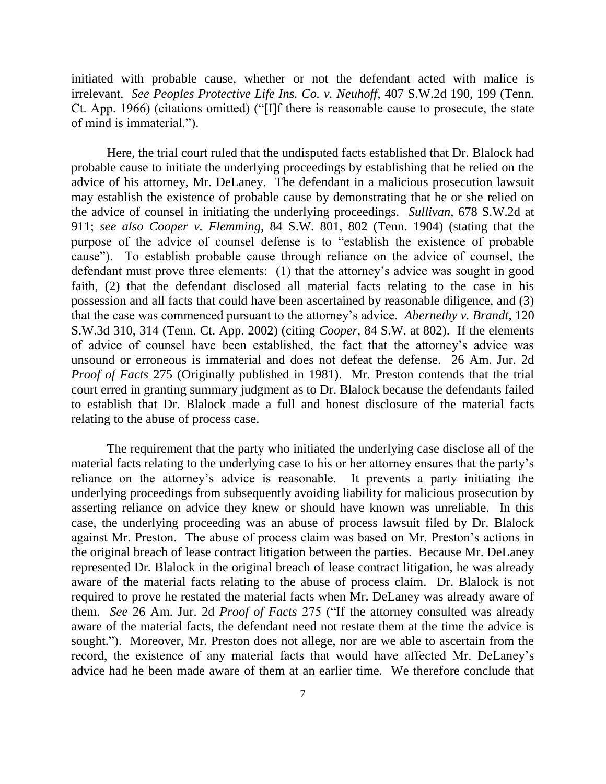initiated with probable cause, whether or not the defendant acted with malice is irrelevant. *See Peoples Protective Life Ins. Co. v. Neuhoff*, 407 S.W.2d 190, 199 (Tenn. Ct. App. 1966) (citations omitted) ("[I]f there is reasonable cause to prosecute, the state of mind is immaterial.").

Here, the trial court ruled that the undisputed facts established that Dr. Blalock had probable cause to initiate the underlying proceedings by establishing that he relied on the advice of his attorney, Mr. DeLaney. The defendant in a malicious prosecution lawsuit may establish the existence of probable cause by demonstrating that he or she relied on the advice of counsel in initiating the underlying proceedings. *Sullivan*, 678 S.W.2d at 911; *see also Cooper v. Flemming*, 84 S.W. 801, 802 (Tenn. 1904) (stating that the purpose of the advice of counsel defense is to "establish the existence of probable cause"). To establish probable cause through reliance on the advice of counsel, the defendant must prove three elements: (1) that the attorney's advice was sought in good faith, (2) that the defendant disclosed all material facts relating to the case in his possession and all facts that could have been ascertained by reasonable diligence, and (3) that the case was commenced pursuant to the attorney's advice. *Abernethy v. Brandt*, 120 S.W.3d 310, 314 (Tenn. Ct. App. 2002) (citing *Cooper*, 84 S.W. at 802). If the elements of advice of counsel have been established, the fact that the attorney's advice was unsound or erroneous is immaterial and does not defeat the defense. 26 Am. Jur. 2d *Proof of Facts* 275 (Originally published in 1981). Mr. Preston contends that the trial court erred in granting summary judgment as to Dr. Blalock because the defendants failed to establish that Dr. Blalock made a full and honest disclosure of the material facts relating to the abuse of process case.

The requirement that the party who initiated the underlying case disclose all of the material facts relating to the underlying case to his or her attorney ensures that the party's reliance on the attorney's advice is reasonable. It prevents a party initiating the underlying proceedings from subsequently avoiding liability for malicious prosecution by asserting reliance on advice they knew or should have known was unreliable. In this case, the underlying proceeding was an abuse of process lawsuit filed by Dr. Blalock against Mr. Preston. The abuse of process claim was based on Mr. Preston's actions in the original breach of lease contract litigation between the parties. Because Mr. DeLaney represented Dr. Blalock in the original breach of lease contract litigation, he was already aware of the material facts relating to the abuse of process claim. Dr. Blalock is not required to prove he restated the material facts when Mr. DeLaney was already aware of them. *See* 26 Am. Jur. 2d *Proof of Facts* 275 ("If the attorney consulted was already aware of the material facts, the defendant need not restate them at the time the advice is sought."). Moreover, Mr. Preston does not allege, nor are we able to ascertain from the record, the existence of any material facts that would have affected Mr. DeLaney's advice had he been made aware of them at an earlier time. We therefore conclude that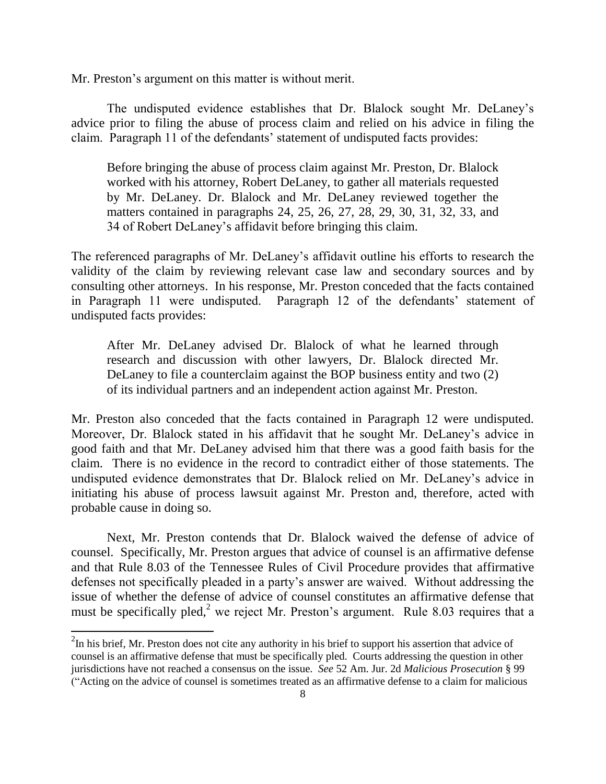Mr. Preston's argument on this matter is without merit.

The undisputed evidence establishes that Dr. Blalock sought Mr. DeLaney's advice prior to filing the abuse of process claim and relied on his advice in filing the claim. Paragraph 11 of the defendants' statement of undisputed facts provides:

Before bringing the abuse of process claim against Mr. Preston, Dr. Blalock worked with his attorney, Robert DeLaney, to gather all materials requested by Mr. DeLaney. Dr. Blalock and Mr. DeLaney reviewed together the matters contained in paragraphs 24, 25, 26, 27, 28, 29, 30, 31, 32, 33, and 34 of Robert DeLaney's affidavit before bringing this claim.

The referenced paragraphs of Mr. DeLaney's affidavit outline his efforts to research the validity of the claim by reviewing relevant case law and secondary sources and by consulting other attorneys. In his response, Mr. Preston conceded that the facts contained in Paragraph 11 were undisputed. Paragraph 12 of the defendants' statement of undisputed facts provides:

After Mr. DeLaney advised Dr. Blalock of what he learned through research and discussion with other lawyers, Dr. Blalock directed Mr. DeLaney to file a counterclaim against the BOP business entity and two (2) of its individual partners and an independent action against Mr. Preston.

Mr. Preston also conceded that the facts contained in Paragraph 12 were undisputed. Moreover, Dr. Blalock stated in his affidavit that he sought Mr. DeLaney's advice in good faith and that Mr. DeLaney advised him that there was a good faith basis for the claim. There is no evidence in the record to contradict either of those statements. The undisputed evidence demonstrates that Dr. Blalock relied on Mr. DeLaney's advice in initiating his abuse of process lawsuit against Mr. Preston and, therefore, acted with probable cause in doing so.

Next, Mr. Preston contends that Dr. Blalock waived the defense of advice of counsel. Specifically, Mr. Preston argues that advice of counsel is an affirmative defense and that Rule 8.03 of the Tennessee Rules of Civil Procedure provides that affirmative defenses not specifically pleaded in a party's answer are waived. Without addressing the issue of whether the defense of advice of counsel constitutes an affirmative defense that must be specifically pled,<sup>2</sup> we reject Mr. Preston's argument. Rule 8.03 requires that a

l

 $2$ In his brief, Mr. Preston does not cite any authority in his brief to support his assertion that advice of counsel is an affirmative defense that must be specifically pled. Courts addressing the question in other jurisdictions have not reached a consensus on the issue. *See* 52 Am. Jur. 2d *Malicious Prosecution* § 99 ("Acting on the advice of counsel is sometimes treated as an affirmative defense to a claim for malicious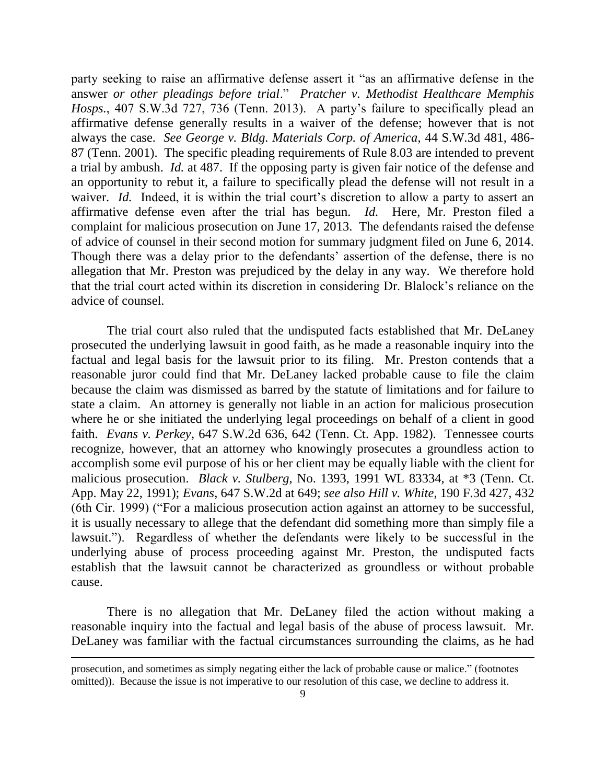party seeking to raise an affirmative defense assert it "as an affirmative defense in the answer *or other pleadings before trial*." *Pratcher v. Methodist Healthcare Memphis Hosps.*, 407 S.W.3d 727, 736 (Tenn. 2013). A party's failure to specifically plead an affirmative defense generally results in a waiver of the defense; however that is not always the case. *See George v. Bldg. Materials Corp. of America*, 44 S.W.3d 481, 486- 87 (Tenn. 2001). The specific pleading requirements of Rule 8.03 are intended to prevent a trial by ambush. *Id.* at 487. If the opposing party is given fair notice of the defense and an opportunity to rebut it, a failure to specifically plead the defense will not result in a waiver. *Id.* Indeed, it is within the trial court's discretion to allow a party to assert an affirmative defense even after the trial has begun. *Id.* Here, Mr. Preston filed a complaint for malicious prosecution on June 17, 2013. The defendants raised the defense of advice of counsel in their second motion for summary judgment filed on June 6, 2014. Though there was a delay prior to the defendants' assertion of the defense, there is no allegation that Mr. Preston was prejudiced by the delay in any way. We therefore hold that the trial court acted within its discretion in considering Dr. Blalock's reliance on the advice of counsel.

The trial court also ruled that the undisputed facts established that Mr. DeLaney prosecuted the underlying lawsuit in good faith, as he made a reasonable inquiry into the factual and legal basis for the lawsuit prior to its filing. Mr. Preston contends that a reasonable juror could find that Mr. DeLaney lacked probable cause to file the claim because the claim was dismissed as barred by the statute of limitations and for failure to state a claim. An attorney is generally not liable in an action for malicious prosecution where he or she initiated the underlying legal proceedings on behalf of a client in good faith. *Evans v. Perkey*, 647 S.W.2d 636, 642 (Tenn. Ct. App. 1982). Tennessee courts recognize, however, that an attorney who knowingly prosecutes a groundless action to accomplish some evil purpose of his or her client may be equally liable with the client for malicious prosecution. *Black v. Stulberg*, No. 1393, 1991 WL 83334, at \*3 (Tenn. Ct. App. May 22, 1991); *Evans*, 647 S.W.2d at 649; *see also Hill v. White*, 190 F.3d 427, 432 (6th Cir. 1999) ("For a malicious prosecution action against an attorney to be successful, it is usually necessary to allege that the defendant did something more than simply file a lawsuit."). Regardless of whether the defendants were likely to be successful in the underlying abuse of process proceeding against Mr. Preston, the undisputed facts establish that the lawsuit cannot be characterized as groundless or without probable cause.

There is no allegation that Mr. DeLaney filed the action without making a reasonable inquiry into the factual and legal basis of the abuse of process lawsuit. Mr. DeLaney was familiar with the factual circumstances surrounding the claims, as he had

l

prosecution, and sometimes as simply negating either the lack of probable cause or malice." (footnotes omitted)). Because the issue is not imperative to our resolution of this case, we decline to address it.